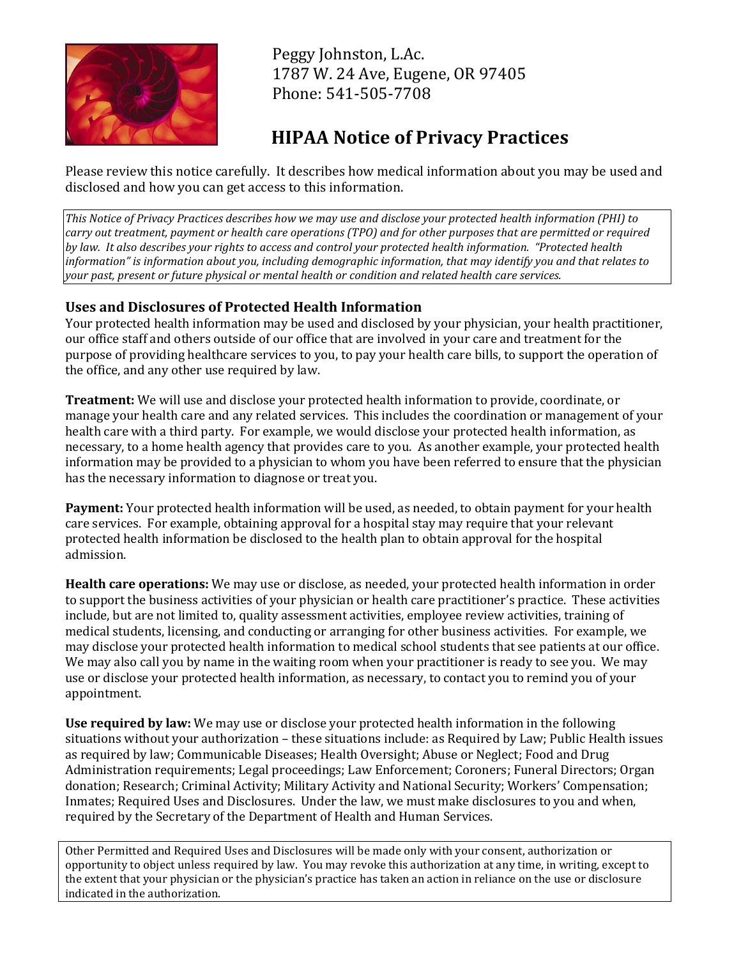

 Peggy Johnston, L.Ac. 1787 W. 24 Ave, Eugene, OR 97405 Phone: 541-505-7708

## **HIPAA Notice of Privacy Practices**

Please review this notice carefully. It describes how medical information about you may be used and disclosed and how you can get access to this information.

*This Notice of Privacy Practices describes how we may use and disclose your protected health information (PHI) to carry out treatment, payment or health care operations (TPO) and for other purposes that are permitted or required by law. It also describes your rights to access and control your protected health information. "Protected health information" is information about you, including demographic information, that may identify you and that relates to your past, present or future physical or mental health or condition and related health care services.* 

## **Uses and Disclosures of Protected Health Information**

Your protected health information may be used and disclosed by your physician, your health practitioner, our office staff and others outside of our office that are involved in your care and treatment for the purpose of providing healthcare services to you, to pay your health care bills, to support the operation of the office, and any other use required by law.

**Treatment:** We will use and disclose your protected health information to provide, coordinate, or manage your health care and any related services. This includes the coordination or management of your health care with a third party. For example, we would disclose your protected health information, as necessary, to a home health agency that provides care to you. As another example, your protected health information may be provided to a physician to whom you have been referred to ensure that the physician has the necessary information to diagnose or treat you.

**Payment:** Your protected health information will be used, as needed, to obtain payment for your health care services. For example, obtaining approval for a hospital stay may require that your relevant protected health information be disclosed to the health plan to obtain approval for the hospital admission.

**Health care operations:** We may use or disclose, as needed, your protected health information in order to support the business activities of your physician or health care practitioner's practice. These activities include, but are not limited to, quality assessment activities, employee review activities, training of medical students, licensing, and conducting or arranging for other business activities. For example, we may disclose your protected health information to medical school students that see patients at our office. We may also call you by name in the waiting room when your practitioner is ready to see you. We may use or disclose your protected health information, as necessary, to contact you to remind you of your appointment.

**Use required by law:** We may use or disclose your protected health information in the following situations without your authorization – these situations include: as Required by Law; Public Health issues as required by law; Communicable Diseases; Health Oversight; Abuse or Neglect; Food and Drug Administration requirements; Legal proceedings; Law Enforcement; Coroners; Funeral Directors; Organ donation; Research; Criminal Activity; Military Activity and National Security; Workers' Compensation; Inmates; Required Uses and Disclosures. Under the law, we must make disclosures to you and when, required by the Secretary of the Department of Health and Human Services.

Other Permitted and Required Uses and Disclosures will be made only with your consent, authorization or opportunity to object unless required by law. You may revoke this authorization at any time, in writing, except to the extent that your physician or the physician's practice has taken an action in reliance on the use or disclosure indicated in the authorization.